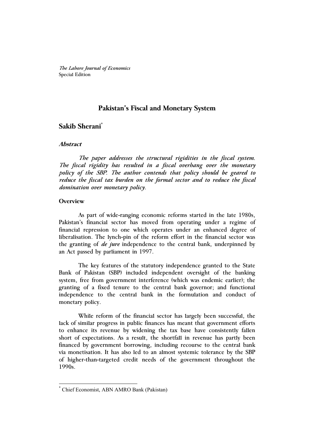*The Lahore Journal of Economics* Special Edition

# **Pakistan's Fiscal and Monetary System**

# **Sakib Sherani\***

## **Abstract**

 *The paper addresses the structural rigidities in the fiscal system. The fiscal rigidity has resulted in a fiscal overhang over the monetary policy of the SBP. The author contends that policy should be geared to reduce the fiscal tax burden on the formal sector and to reduce the fiscal domination over monetary policy.* 

### **Overview**

 $\overline{a}$ 

As part of wide-ranging economic reforms started in the late 1980s, Pakistan's financial sector has moved from operating under a regime of financial repression to one which operates under an enhanced degree of liberalisation. The lynch-pin of the reform effort in the financial sector was the granting of *de jure* independence to the central bank, underpinned by an Act passed by parliament in 1997.

The key features of the statutory independence granted to the State Bank of Pakistan (SBP) included independent oversight of the banking system, free from government interference (which was endemic earlier); the granting of a fixed tenure to the central bank governor; and functional independence to the central bank in the formulation and conduct of monetary policy.

While reform of the financial sector has largely been successful, the lack of similar progress in public finances has meant that government efforts to enhance its revenue by widening the tax base have consistently fallen short of expectations. As a result, the shortfall in revenue has partly been financed by government borrowing, including recourse to the central bank via monetisation. It has also led to an almost systemic tolerance by the SBP of higher-than-targeted credit needs of the government throughout the 1990s.

<sup>\*</sup> Chief Economist, ABN AMRO Bank (Pakistan)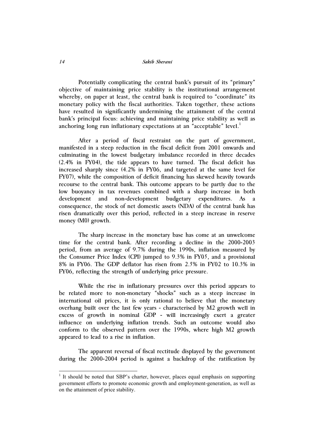#### *14 Sakib Sherani*

Potentially complicating the central bank's pursuit of its "primary" objective of maintaining price stability is the institutional arrangement whereby, on paper at least, the central bank is required to "coordinate" its monetary policy with the fiscal authorities. Taken together, these actions have resulted in significantly undermining the attainment of the central bank's principal focus: achieving and maintaining price stability as well as anchoring long run inflationary expectations at an "acceptable" level. $<sup>1</sup>$ </sup>

After a period of fiscal restraint on the part of government, manifested in a steep reduction in the fiscal deficit from 2001 onwards and culminating in the lowest budgetary imbalance recorded in three decades (2.4% in FY04), the tide appears to have turned. The fiscal deficit has increased sharply since (4.2% in FY06, and targeted at the same level for FY07), while the composition of deficit financing has skewed heavily towards recourse to the central bank. This outcome appears to be partly due to the low buoyancy in tax revenues combined with a sharp increase in both development and non-development budgetary expenditures. As a consequence, the stock of net domestic assets (NDA) of the central bank has risen dramatically over this period, reflected in a steep increase in reserve money (M0) growth.

The sharp increase in the monetary base has come at an unwelcome time for the central bank. After recording a decline in the 2000-2003 period, from an average of 9.7% during the 1990s, inflation measured by the Consumer Price Index (CPI) jumped to 9.3% in FY05, and a provisional 8% in FY06. The GDP deflator has risen from 2.5% in FY02 to 10.3% in FY06, reflecting the strength of underlying price pressure.

While the rise in inflationary pressures over this period appears to be related more to non-monetary "shocks" such as a steep increase in international oil prices, it is only rational to believe that the monetary overhang built over the last few years - characterised by M2 growth well in excess of growth in nominal GDP - will increasingly exert a greater influence on underlying inflation trends. Such an outcome would also conform to the observed pattern over the 1990s, where high M2 growth appeared to lead to a rise in inflation.

The apparent reversal of fiscal rectitude displayed by the government during the 2000-2004 period is against a backdrop of the ratification by

 $\overline{\phantom{a}}$ 

<sup>&</sup>lt;sup>1</sup> It should be noted that SBP's charter, however, places equal emphasis on supporting government efforts to promote economic growth and employment-generation, as well as on the attainment of price stability.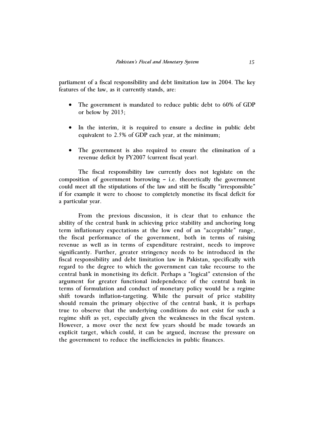parliament of a fiscal responsibility and debt limitation law in 2004. The key features of the law, as it currently stands, are:

- The government is mandated to reduce public debt to 60% of GDP or below by 2013;
- In the interim, it is required to ensure a decline in public debt equivalent to 2.5% of GDP each year, at the minimum;
- The government is also required to ensure the elimination of a revenue deficit by FY2007 (current fiscal year).

The fiscal responsibility law currently does not legislate on the composition of government borrowing – i.e. theoretically the government could meet all the stipulations of the law and still be fiscally "irresponsible" if for example it were to choose to completely monetise its fiscal deficit for a particular year.

From the previous discussion, it is clear that to enhance the ability of the central bank in achieving price stability and anchoring long term inflationary expectations at the low end of an "acceptable" range, the fiscal performance of the government, both in terms of raising revenue as well as in terms of expenditure restraint, needs to improve significantly. Further, greater stringency needs to be introduced in the fiscal responsibility and debt limitation law in Pakistan, specifically with regard to the degree to which the government can take recourse to the central bank in monetising its deficit. Perhaps a "logical" extension of the argument for greater functional independence of the central bank in terms of formulation and conduct of monetary policy would be a regime shift towards inflation-targeting. While the pursuit of price stability should remain the primary objective of the central bank, it is perhaps true to observe that the underlying conditions do not exist for such a regime shift as yet, especially given the weaknesses in the fiscal system. However, a move over the next few years should be made towards an explicit target, which could, it can be argued, increase the pressure on the government to reduce the inefficiencies in public finances.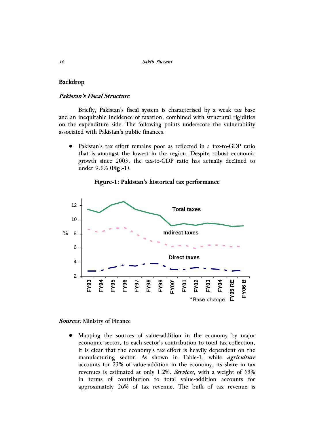### **Backdrop**

## **Pakistan's Fiscal Structure**

Briefly, Pakistan's fiscal system is characterised by a weak tax base and an inequitable incidence of taxation, combined with structural rigidities on the expenditure side. The following points underscore the vulnerability associated with Pakistan's public finances.

● Pakistan's tax effort remains poor as reflected in a tax-to-GDP ratio that is amongst the lowest in the region. Despite robust economic growth since 2003, the tax-to-GDP ratio has actually declined to under 9.5% (**Fig.-1**).

**Figure-1: Pakistan's historical tax performance** 



**Sources:** Ministry of Finance

● Mapping the sources of value-addition in the economy by major economic sector, to each sector's contribution to total tax collection, it is clear that the economy's tax effort is heavily dependent on the manufacturing sector. As shown in Table-1, while *agriculture* accounts for 23% of value-addition in the economy, its share in tax revenues is estimated at only 1.2%. *Services*, with a weight of 53% in terms of contribution to total value-addition accounts for approximately 26% of tax revenue. The bulk of tax revenue is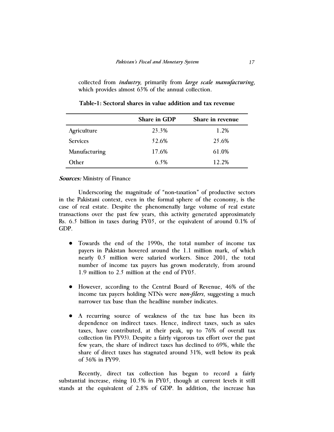collected from *industry*, primarily from *large scale manufacturing*, which provides almost 63% of the annual collection.

|                 | <b>Share in GDP</b> | Share in revenue |
|-----------------|---------------------|------------------|
| Agriculture     | 23.3%               | 1.2%             |
| <b>Services</b> | 52.6%               | 25.6%            |
| Manufacturing   | 17.6%               | 61.0%            |
| Other           | 6.5%                | 12.2%            |

**Table-1: Sectoral shares in value addition and tax revenue** 

### **Sources:** Ministry of Finance

Underscoring the magnitude of "non-taxation" of productive sectors in the Pakistani context, even in the formal sphere of the economy, is the case of real estate. Despite the phenomenally large volume of real estate transactions over the past few years, this activity generated approximately Rs. 6.5 billion in taxes during FY05, or the equivalent of around 0.1% of GDP.

- Towards the end of the 1990s, the total number of income tax payers in Pakistan hovered around the 1.1 million mark, of which nearly 0.5 million were salaried workers. Since 2001, the total number of income tax payers has grown moderately, from around 1.9 million to 2.5 million at the end of FY05.
- However, according to the Central Board of Revenue, 46% of the income tax payers holding NTNs were *non-filers*, suggesting a much narrower tax base than the headline number indicates.
- A recurring source of weakness of the tax base has been its dependence on indirect taxes. Hence, indirect taxes, such as sales taxes, have contributed, at their peak, up to 76% of overall tax collection (in FY93). Despite a fairly vigorous tax effort over the past few years, the share of indirect taxes has declined to 69%, while the share of direct taxes has stagnated around 31%, well below its peak of 36% in FY99.

Recently, direct tax collection has begun to record a fairly substantial increase, rising 10.5% in FY05, though at current levels it still stands at the equivalent of 2.8% of GDP. In addition, the increase has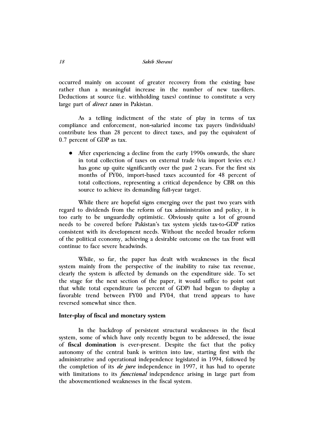occurred mainly on account of greater recovery from the existing base rather than a meaningful increase in the number of new tax-filers. Deductions at source (i.e. withholding taxes) continue to constitute a very large part of *direct taxes* in Pakistan.

As a telling indictment of the state of play in terms of tax compliance and enforcement, non-salaried income tax payers (individuals) contribute less than 28 percent to direct taxes, and pay the equivalent of 0.7 percent of GDP as tax.

• After experiencing a decline from the early 1990s onwards, the share in total collection of taxes on external trade (via import levies etc.) has gone up quite significantly over the past 2 years. For the first six months of FY06, import-based taxes accounted for 48 percent of total collections, representing a critical dependence by CBR on this source to achieve its demanding full-year target.

While there are hopeful signs emerging over the past two years with regard to dividends from the reform of tax administration and policy, it is too early to be unguardedly optimistic. Obviously quite a lot of ground needs to be covered before Pakistan's tax system yields tax-to-GDP ratios consistent with its development needs. Without the needed broader reform of the political economy, achieving a desirable outcome on the tax front will continue to face severe headwinds.

While, so far, the paper has dealt with weaknesses in the fiscal system mainly from the perspective of the inability to raise tax revenue, clearly the system is affected by demands on the expenditure side. To set the stage for the next section of the paper, it would suffice to point out that while total expenditure (as percent of GDP) had begun to display a favorable trend between FY00 and FY04, that trend appears to have reversed somewhat since then.

## **Inter-play of fiscal and monetary system**

In the backdrop of persistent structural weaknesses in the fiscal system, some of which have only recently begun to be addressed, the issue of **fiscal domination** is ever-present. Despite the fact that the policy autonomy of the central bank is written into law, starting first with the administrative and operational independence legislated in 1994, followed by the completion of its *de jure* independence in 1997, it has had to operate with limitations to its *functional* independence arising in large part from the abovementioned weaknesses in the fiscal system.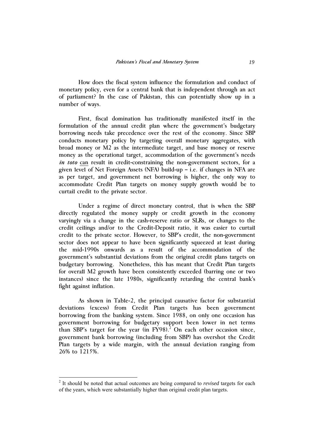How does the fiscal system influence the formulation and conduct of monetary policy, even for a central bank that is independent through an act of parliament? In the case of Pakistan, this can potentially show up in a number of ways.

First, fiscal domination has traditionally manifested itself in the formulation of the annual credit plan where the government's budgetary borrowing needs take precedence over the rest of the economy. Since SBP conducts monetary policy by targeting overall monetary aggregates, with broad money or M2 as the intermediate target, and base money or reserve money as the operational target, accommodation of the government's needs *in toto* can result in credit-constraining the non-government sectors, for a given level of Net Foreign Assets (NFA) build-up – i.e. if changes in NFA are as per target, and government net borrowing is higher, the only way to accommodate Credit Plan targets on money supply growth would be to curtail credit to the private sector.

Under a regime of direct monetary control, that is when the SBP directly regulated the money supply or credit growth in the economy varyingly via a change in the cash-reserve ratio or SLRs, or changes to the credit ceilings and/or to the Credit-Deposit ratio, it was easier to curtail credit to the private sector. However, to SBP's credit, the non-government sector does not appear to have been significantly squeezed at least during the mid-1990s onwards as a result of the accommodation of the government's substantial deviations from the original credit plans targets on budgetary borrowing. Nonetheless, this has meant that Credit Plan targets for overall M2 growth have been consistently exceeded (barring one or two instances) since the late 1980s, significantly retarding the central bank's fight against inflation.

As shown in Table-2, the principal causative factor for substantial deviations (excess) from Credit Plan targets has been government borrowing from the banking system. Since 1988, on only one occasion has government borrowing for budgetary support been lower in net terms than SBP's target for the year  $(in FY98)<sup>2</sup>$  On each other occasion since, government bank borrowing (including from SBP) has overshot the Credit Plan targets by a wide margin, with the annual deviation ranging from 26% to 1215%.

 $\overline{a}$ 

<sup>2</sup> It should be noted that actual outcomes are being compared to *revised* targets for each of the years, which were substantially higher than original credit plan targets.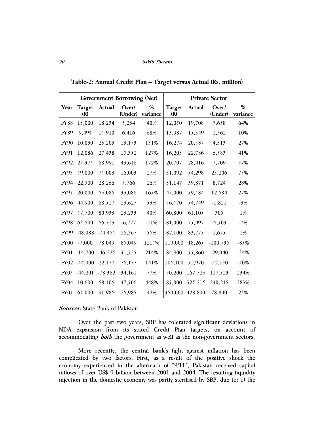| <b>Government Borrowing (Net)</b> |                           |            |                  | <b>Private Sector</b> |                      |         |                  |                  |
|-----------------------------------|---------------------------|------------|------------------|-----------------------|----------------------|---------|------------------|------------------|
| Year                              | <b>Target</b><br>$\bf(R)$ | Actual     | Over/<br>(Under) | %<br>variance         | <b>Target</b><br>(R) | Actual  | Over/<br>(Under) | $\%$<br>variance |
| <b>FY88</b>                       | 13,000                    | 18,234     | 5,234            | 40%                   | 12,050               | 19,708  | 7,658            | 64%              |
| <b>FY89</b>                       | 9,494                     | 15,910     | 6,416            | 68%                   | 13,987               | 15,349  | 1,362            | 10%              |
| <b>FY90</b>                       | 10,030                    | 23,203     | 13,173           | 131%                  | 16,274               | 20,587  | 4,313            | 27%              |
| FY91                              | 12,086                    | 27,438     | 15,352           | 127%                  | 16,203               | 22,786  | 6,583            | 41%              |
| FY92                              | 25,375                    | 68,991     | 43,616           | 172%                  | 20,707               | 28,416  | 7,709            | 37%              |
| FY93                              | 59,000                    | 75,003     | 16,003           | 27%                   | 31,092               | 54,298  | 23,206           | 75%              |
| <b>FY94</b>                       | 22,500                    | 28,266     | 5,766            | 26%                   | 31,147               | 39,871  | 8,724            | 28%              |
| FY95                              | 20,000                    | 53,086     | 33,086           | 165%                  | 47,000               | 59,584  | 12,584           | 27%              |
| <b>FY96</b>                       | 44,900                    | 68,527     | 23,627           | 53%                   | 56,570               | 54,749  | $-1,821$         | $-3%$            |
| <b>FY97</b>                       | 57,700                    | 80,933     | 23,233           | 40%                   | 60,800               | 61,105  | 305              | 1%               |
| <b>FY98</b>                       | 63,500                    | 56,723     | $-6,777$         | $-11%$                | 81,000               | 75,497  | $-5,503$         | $-7%$            |
| <b>FY99</b>                       | $-48,088$                 | $-74, 455$ | 26,367           | 55%                   | 82,100               | 83,775  | 1,675            | 2%               |
| <b>FY00</b>                       | $-7,000$                  | 78,049     | 85,049           | 1215%                 | 119,000              | 18,265  | $-100,735$       | $-85%$           |
| <b>FY01</b>                       | $-14,700$                 | $-46,225$  | 31,525           | 214%                  | 84,900               | 55,860  | $-29,040$        | $-34%$           |
|                                   | FY02 -54,000              | 22,177     | 76,177           | 141%                  | 105,100              | 52,970  | $-52,130$        | $-50%$           |
| FY03                              | $-44,201$                 | $-78,362$  | 34,161           | 77%                   | 50,200               | 167,723 | 117,523          | 234%             |
| <b>FY04</b>                       | 10,600                    | 58,106     | 47,506           | 448%                  | 85,000               | 325,215 | 240,215          | 283%             |
| FY05                              | 65,000                    | 91,985     | 26,985           | 42%                   | 350,000              | 428,800 | 78,800           | 23%              |

**Table-2: Annual Credit Plan – Target versus Actual (Rs. million)** 

### **Sources:** State Bank of Pakistan

Over the past two years, SBP has tolerated significant deviations in NDA expansion from its stated Credit Plan targets, on account of accommodating *both* the government as well as the non-government sectors.

More recently, the central bank's fight against inflation has been complicated by two factors. First, as a result of the positive shock the economy experienced in the aftermath of "9/11", Pakistan received capital inflows of over US\$ 9 billion between 2001 and 2004. The resulting liquidity injection in the domestic economy was partly sterilised by SBP, due to: 1) the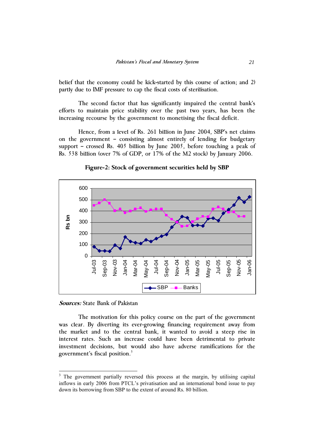belief that the economy could be kick-started by this course of action; and 2) partly due to IMF pressure to cap the fiscal costs of sterilisation.

The second factor that has significantly impaired the central bank's efforts to maintain price stability over the past two years, has been the increasing recourse by the government to monetising the fiscal deficit.

Hence, from a level of Rs. 261 billion in June 2004, SBP's net claims on the government – consisting almost entirely of lending for budgetary support – crossed Rs. 405 billion by June 2005, before touching a peak of Rs. 538 billion (over 7% of GDP, or 17% of the M2 stock) by January 2006.



**Figure-2: Stock of government securities held by SBP** 

**Sources:** State Bank of Pakistan

 $\overline{\phantom{a}}$ 

The motivation for this policy course on the part of the government was clear. By diverting its ever-growing financing requirement away from the market and to the central bank, it wanted to avoid a steep rise in interest rates. Such an increase could have been detrimental to private investment decisions, but would also have adverse ramifications for the government's fiscal position. $3$ 

<sup>&</sup>lt;sup>3</sup> The government partially reversed this process at the margin, by utilising capital inflows in early 2006 from PTCL's privatisation and an international bond issue to pay down its borrowing from SBP to the extent of around Rs. 80 billion.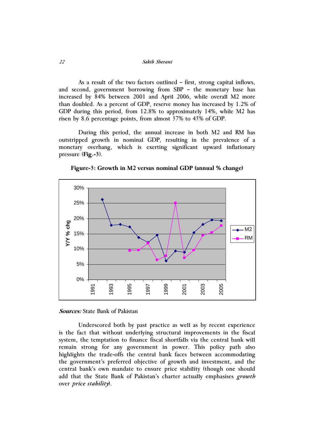*22 Sakib Sherani*

As a result of the two factors outlined – first, strong capital inflows, and second, government borrowing from SBP – the monetary base has increased by 84% between 2001 and April 2006, while overall M2 more than doubled. As a percent of GDP, reserve money has increased by 1.2% of GDP during this period, from 12.8% to approximately 14%, while M2 has risen by 8.6 percentage points, from almost 37% to 45% of GDP.

During this period, the annual increase in both M2 and RM has outstripped growth in nominal GDP, resulting in the prevalence of a monetary overhang, which is exerting significant upward inflationary pressure (**Fig.-3**).

**Figure-3: Growth in M2 versus nominal GDP (annual % change)** 



**Sources:** State Bank of Pakistan

Underscored both by past practice as well as by recent experience is the fact that without underlying structural improvements in the fiscal system, the temptation to finance fiscal shortfalls via the central bank will remain strong for any government in power. This policy path also highlights the trade-offs the central bank faces between accommodating the government's preferred objective of growth and investment, and the central bank's own mandate to ensure price stability (though one should add that the State Bank of Pakistan's charter actually emphasises *growth* over *price stability*).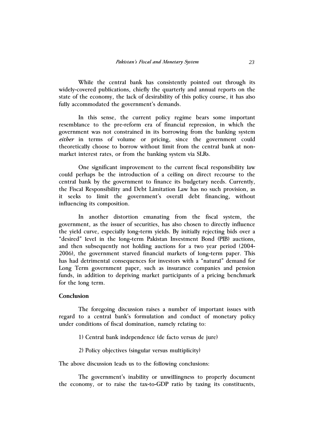While the central bank has consistently pointed out through its widely-covered publications, chiefly the quarterly and annual reports on the state of the economy, the lack of desirability of this policy course, it has also fully accommodated the government's demands.

In this sense, the current policy regime bears some important resemblance to the pre-reform era of financial repression, in which the government was not constrained in its borrowing from the banking system *either* in terms of volume or pricing, since the government could theoretically choose to borrow without limit from the central bank at nonmarket interest rates, or from the banking system via SLRs.

One significant improvement to the current fiscal responsibility law could perhaps be the introduction of a ceiling on direct recourse to the central bank by the government to finance its budgetary needs. Currently, the Fiscal Responsibility and Debt Limitation Law has no such provision, as it seeks to limit the government's overall debt financing, without influencing its composition.

In another distortion emanating from the fiscal system, the government, as the issuer of securities, has also chosen to directly influence the yield curve, especially long-term yields. By initially rejecting bids over a "desired" level in the long-term Pakistan Investment Bond (PIB) auctions, and then subsequently not holding auctions for a two year period (2004- 2006), the government starved financial markets of long-term paper. This has had detrimental consequences for investors with a "natural" demand for Long Term government paper, such as insurance companies and pension funds, in addition to depriving market participants of a pricing benchmark for the long term.

### **Conclusion**

The foregoing discussion raises a number of important issues with regard to a central bank's formulation and conduct of monetary policy under conditions of fiscal domination, namely relating to:

- 1) Central bank independence (de facto versus de jure)
- 2) Policy objectives (singular versus multiplicity)

The above discussion leads us to the following conclusions:

The government's inability or unwillingness to properly document the economy, or to raise the tax-to-GDP ratio by taxing its constituents,